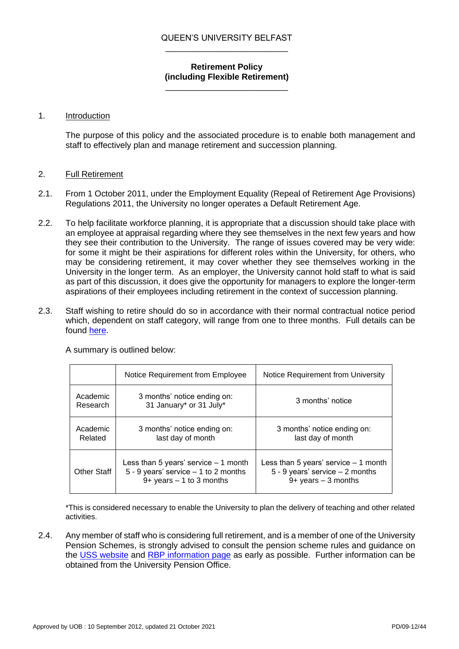## QUEEN'S UNIVERSITY BELFAST \_\_\_\_\_\_\_\_\_\_\_\_\_\_\_\_\_\_\_\_\_\_\_\_\_\_

## **Retirement Policy (including Flexible Retirement)**

\_\_\_\_\_\_\_\_\_\_\_\_\_\_\_\_\_\_\_\_\_\_\_\_\_\_

# 1. Introduction

The purpose of this policy and the associated procedure is to enable both management and staff to effectively plan and manage retirement and succession planning.

# 2. Full Retirement

- 2.1. From 1 October 2011, under the Employment Equality (Repeal of Retirement Age Provisions) Regulations 2011, the University no longer operates a Default Retirement Age.
- 2.2. To help facilitate workforce planning, it is appropriate that a discussion should take place with an employee at appraisal regarding where they see themselves in the next few years and how they see their contribution to the University. The range of issues covered may be very wide: for some it might be their aspirations for different roles within the University, for others, who may be considering retirement, it may cover whether they see themselves working in the University in the longer term. As an employer, the University cannot hold staff to what is said as part of this discussion, it does give the opportunity for managers to explore the longer-term aspirations of their employees including retirement in the context of succession planning.
- 2.3. Staff wishing to retire should do so in accordance with their normal contractual notice period which, dependent on staff category, will range from one to three months. Full details can be found [here.](https://www.qub.ac.uk/directorates/HumanResources/managers/leaving-the-university/)

|                      | Notice Requirement from Employee                                                                                 | Notice Requirement from University                                                                    |
|----------------------|------------------------------------------------------------------------------------------------------------------|-------------------------------------------------------------------------------------------------------|
| Academic<br>Research | 3 months' notice ending on:<br>31 January* or 31 July*                                                           | 3 months' notice                                                                                      |
| Academic<br>Related  | 3 months' notice ending on:<br>last day of month                                                                 | 3 months' notice ending on:<br>last day of month                                                      |
| <b>Other Staff</b>   | Less than 5 years' service $-1$ month<br>$5 - 9$ years' service $- 1$ to 2 months<br>$9+$ years $-1$ to 3 months | Less than 5 years' service $-1$ month<br>$5 - 9$ years' service $-2$ months<br>$9+$ years $-3$ months |

A summary is outlined below:

\*This is considered necessary to enable the University to plan the delivery of teaching and other related activities.

2.4. Any member of staff who is considering full retirement, and is a member of one of the University Pension Schemes, is strongly advised to consult the pension scheme rules and guidance on the [USS website](https://www.uss.co.uk/) and [RBP information page](https://www.qub.ac.uk/directorates/FinanceDirectorate/Staff/employee-services/pensions/pension-schemes/) as early as possible. Further information can be obtained from the University Pension Office.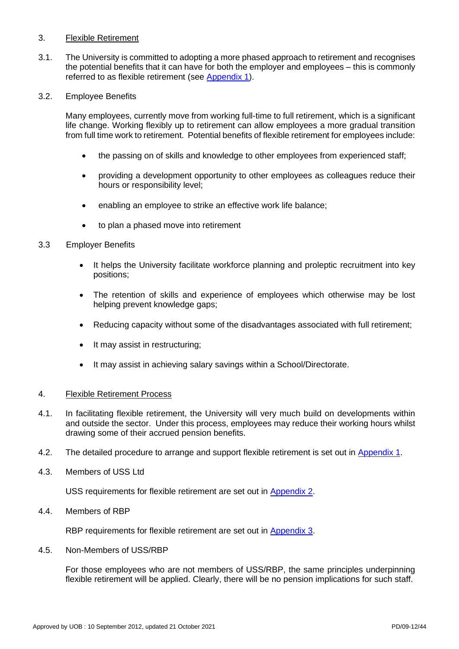# 3. Flexible Retirement

3.1. The University is committed to adopting a more phased approach to retirement and recognises the potential benefits that it can have for both the employer and employees – this is commonly referred to as flexible retirement (see [Appendix 1\)](#page-2-0).

## 3.2. Employee Benefits

Many employees, currently move from working full-time to full retirement, which is a significant life change. Working flexibly up to retirement can allow employees a more gradual transition from full time work to retirement. Potential benefits of flexible retirement for employees include:

- the passing on of skills and knowledge to other employees from experienced staff;
- providing a development opportunity to other employees as colleagues reduce their hours or responsibility level;
- enabling an employee to strike an effective work life balance;
- to plan a phased move into retirement

## 3.3 Employer Benefits

- It helps the University facilitate workforce planning and proleptic recruitment into key positions;
- The retention of skills and experience of employees which otherwise may be lost helping prevent knowledge gaps;
- Reducing capacity without some of the disadvantages associated with full retirement;
- It may assist in restructuring;
- It may assist in achieving salary savings within a School/Directorate.

#### 4. Flexible Retirement Process

- 4.1. In facilitating flexible retirement, the University will very much build on developments within and outside the sector. Under this process, employees may reduce their working hours whilst drawing some of their accrued pension benefits.
- 4.2. The detailed procedure to arrange and support flexible retirement is set out in [Appendix 1.](#page-2-0)
- 4.3. Members of USS Ltd

USS requirements for flexible retirement are set out in [Appendix 2.](#page-5-0)

4.4. Members of RBP

RBP requirements for flexible retirement are set out in [Appendix 3.](#page-6-0)

4.5. Non-Members of USS/RBP

For those employees who are not members of USS/RBP, the same principles underpinning flexible retirement will be applied. Clearly, there will be no pension implications for such staff.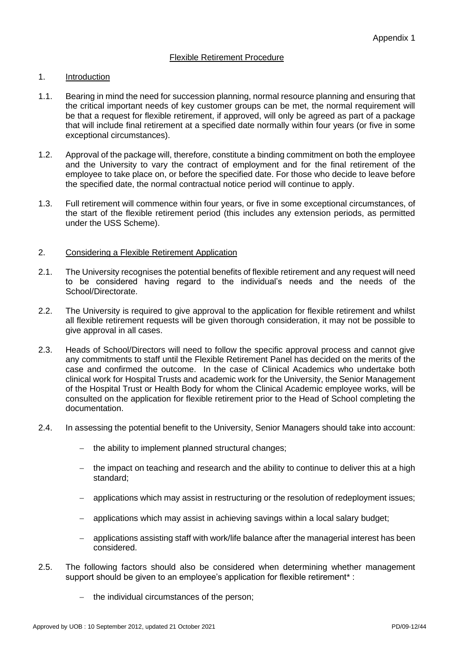#### <span id="page-2-0"></span>1. Introduction

- 1.1. Bearing in mind the need for succession planning, normal resource planning and ensuring that the critical important needs of key customer groups can be met, the normal requirement will be that a request for flexible retirement, if approved, will only be agreed as part of a package that will include final retirement at a specified date normally within four years (or five in some exceptional circumstances).
- 1.2. Approval of the package will, therefore, constitute a binding commitment on both the employee and the University to vary the contract of employment and for the final retirement of the employee to take place on, or before the specified date. For those who decide to leave before the specified date, the normal contractual notice period will continue to apply.
- 1.3. Full retirement will commence within four years, or five in some exceptional circumstances, of the start of the flexible retirement period (this includes any extension periods, as permitted under the USS Scheme).

## 2. Considering a Flexible Retirement Application

- 2.1. The University recognises the potential benefits of flexible retirement and any request will need to be considered having regard to the individual's needs and the needs of the School/Directorate.
- 2.2. The University is required to give approval to the application for flexible retirement and whilst all flexible retirement requests will be given thorough consideration, it may not be possible to give approval in all cases.
- 2.3. Heads of School/Directors will need to follow the specific approval process and cannot give any commitments to staff until the Flexible Retirement Panel has decided on the merits of the case and confirmed the outcome. In the case of Clinical Academics who undertake both clinical work for Hospital Trusts and academic work for the University, the Senior Management of the Hospital Trust or Health Body for whom the Clinical Academic employee works, will be consulted on the application for flexible retirement prior to the Head of School completing the documentation.
- 2.4. In assessing the potential benefit to the University, Senior Managers should take into account:
	- − the ability to implement planned structural changes;
	- − the impact on teaching and research and the ability to continue to deliver this at a high standard;
	- applications which may assist in restructuring or the resolution of redeployment issues;
	- − applications which may assist in achieving savings within a local salary budget;
	- − applications assisting staff with work/life balance after the managerial interest has been considered.
- 2.5. The following factors should also be considered when determining whether management support should be given to an employee's application for flexible retirement<sup>\*</sup> :
	- − the individual circumstances of the person;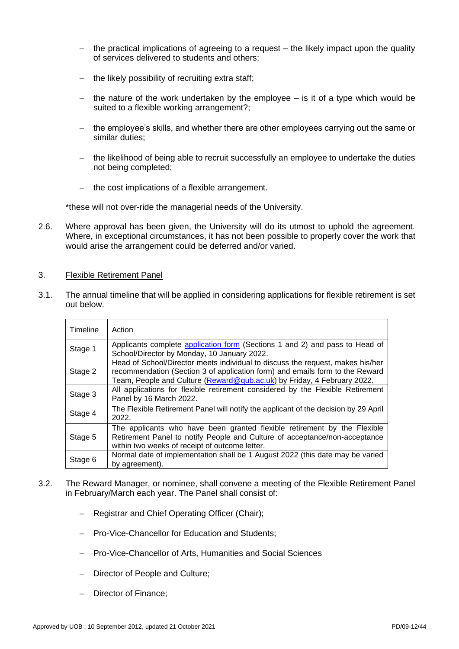- − the practical implications of agreeing to a request the likely impact upon the quality of services delivered to students and others;
- − the likely possibility of recruiting extra staff;
- − the nature of the work undertaken by the employee is it of a type which would be suited to a flexible working arrangement?:
- − the employee's skills, and whether there are other employees carrying out the same or similar duties;
- − the likelihood of being able to recruit successfully an employee to undertake the duties not being completed;
- − the cost implications of a flexible arrangement.

\*these will not over-ride the managerial needs of the University.

2.6. Where approval has been given, the University will do its utmost to uphold the agreement. Where, in exceptional circumstances, it has not been possible to properly cover the work that would arise the arrangement could be deferred and/or varied.

#### 3. Flexible Retirement Panel

3.1. The annual timeline that will be applied in considering applications for flexible retirement is set out below.

| Timeline | Action                                                                                                                                                                                                                                    |
|----------|-------------------------------------------------------------------------------------------------------------------------------------------------------------------------------------------------------------------------------------------|
| Stage 1  | Applicants complete application form (Sections 1 and 2) and pass to Head of<br>School/Director by Monday, 10 January 2022.                                                                                                                |
| Stage 2  | Head of School/Director meets individual to discuss the request, makes his/her<br>recommendation (Section 3 of application form) and emails form to the Reward<br>Team, People and Culture (Reward@qub.ac.uk) by Friday, 4 February 2022. |
| Stage 3  | All applications for flexible retirement considered by the Flexible Retirement<br>Panel by 16 March 2022.                                                                                                                                 |
| Stage 4  | The Flexible Retirement Panel will notify the applicant of the decision by 29 April<br>2022.                                                                                                                                              |
| Stage 5  | The applicants who have been granted flexible retirement by the Flexible<br>Retirement Panel to notify People and Culture of acceptance/non-acceptance<br>within two weeks of receipt of outcome letter.                                  |
| Stage 6  | Normal date of implementation shall be 1 August 2022 (this date may be varied<br>by agreement).                                                                                                                                           |

- 3.2. The Reward Manager, or nominee, shall convene a meeting of the Flexible Retirement Panel in February/March each year. The Panel shall consist of:
	- − Registrar and Chief Operating Officer (Chair);
	- − Pro-Vice-Chancellor for Education and Students;
	- − Pro-Vice-Chancellor of Arts, Humanities and Social Sciences
	- − Director of People and Culture;
	- − Director of Finance;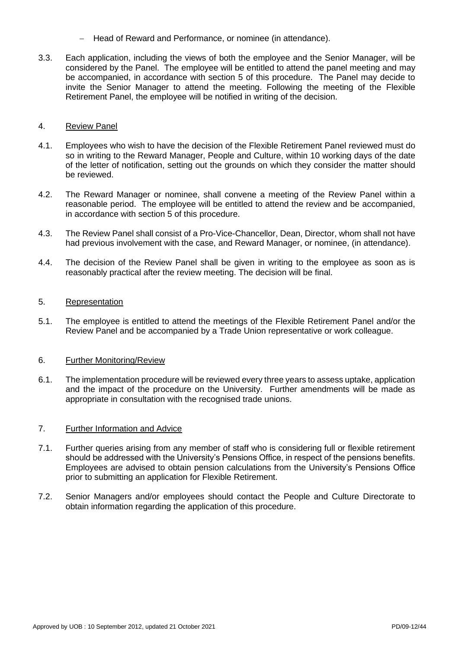- − Head of Reward and Performance, or nominee (in attendance).
- 3.3. Each application, including the views of both the employee and the Senior Manager, will be considered by the Panel. The employee will be entitled to attend the panel meeting and may be accompanied, in accordance with section 5 of this procedure. The Panel may decide to invite the Senior Manager to attend the meeting. Following the meeting of the Flexible Retirement Panel, the employee will be notified in writing of the decision.

# 4. Review Panel

- 4.1. Employees who wish to have the decision of the Flexible Retirement Panel reviewed must do so in writing to the Reward Manager, People and Culture, within 10 working days of the date of the letter of notification, setting out the grounds on which they consider the matter should be reviewed.
- 4.2. The Reward Manager or nominee, shall convene a meeting of the Review Panel within a reasonable period. The employee will be entitled to attend the review and be accompanied, in accordance with section 5 of this procedure.
- 4.3. The Review Panel shall consist of a Pro-Vice-Chancellor, Dean, Director, whom shall not have had previous involvement with the case, and Reward Manager, or nominee, (in attendance).
- 4.4. The decision of the Review Panel shall be given in writing to the employee as soon as is reasonably practical after the review meeting. The decision will be final.

## 5. Representation

5.1. The employee is entitled to attend the meetings of the Flexible Retirement Panel and/or the Review Panel and be accompanied by a Trade Union representative or work colleague.

# 6. Further Monitoring/Review

6.1. The implementation procedure will be reviewed every three years to assess uptake, application and the impact of the procedure on the University. Further amendments will be made as appropriate in consultation with the recognised trade unions.

# 7. Further Information and Advice

- 7.1. Further queries arising from any member of staff who is considering full or flexible retirement should be addressed with the University's Pensions Office, in respect of the pensions benefits. Employees are advised to obtain pension calculations from the University's Pensions Office prior to submitting an application for Flexible Retirement.
- 7.2. Senior Managers and/or employees should contact the People and Culture Directorate to obtain information regarding the application of this procedure.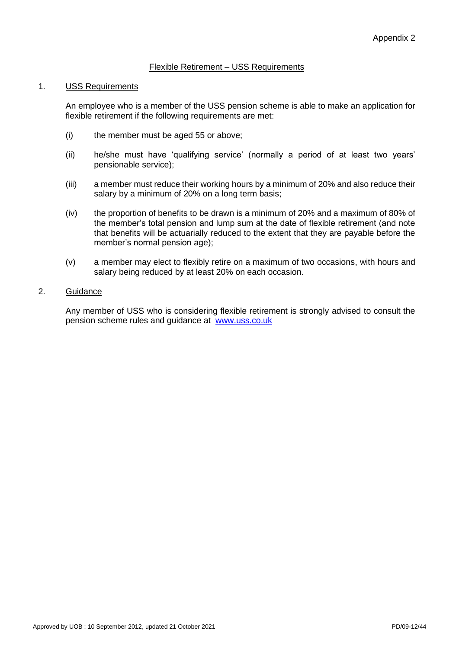# Flexible Retirement – USS Requirements

#### <span id="page-5-0"></span>1. USS Requirements

An employee who is a member of the USS pension scheme is able to make an application for flexible retirement if the following requirements are met:

- (i) the member must be aged 55 or above;
- (ii) he/she must have 'qualifying service' (normally a period of at least two years' pensionable service);
- (iii) a member must reduce their working hours by a minimum of 20% and also reduce their salary by a minimum of 20% on a long term basis;
- (iv) the proportion of benefits to be drawn is a minimum of 20% and a maximum of 80% of the member's total pension and lump sum at the date of flexible retirement (and note that benefits will be actuarially reduced to the extent that they are payable before the member's normal pension age);
- (v) a member may elect to flexibly retire on a maximum of two occasions, with hours and salary being reduced by at least 20% on each occasion.

# 2. Guidance

Any member of USS who is considering flexible retirement is strongly advised to consult the pension scheme rules and guidance at [www.uss.co.uk](http://www.uss.co.uk/)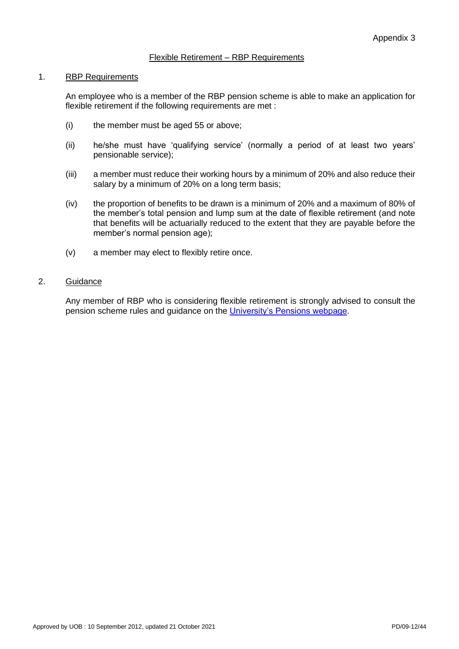# Flexible Retirement – RBP Requirements

#### <span id="page-6-0"></span>1. RBP Requirements

An employee who is a member of the RBP pension scheme is able to make an application for flexible retirement if the following requirements are met :

- (i) the member must be aged 55 or above;
- (ii) he/she must have 'qualifying service' (normally a period of at least two years' pensionable service);
- (iii) a member must reduce their working hours by a minimum of 20% and also reduce their salary by a minimum of 20% on a long term basis;
- (iv) the proportion of benefits to be drawn is a minimum of 20% and a maximum of 80% of the member's total pension and lump sum at the date of flexible retirement (and note that benefits will be actuarially reduced to the extent that they are payable before the member's normal pension age);
- (v) a member may elect to flexibly retire once.

#### 2. Guidance

Any member of RBP who is considering flexible retirement is strongly advised to consult the pension scheme rules and guidance on the [University's Pensions webpage.](https://www.qub.ac.uk/directorates/FinanceDirectorate/Staff/employee-services/pensions/)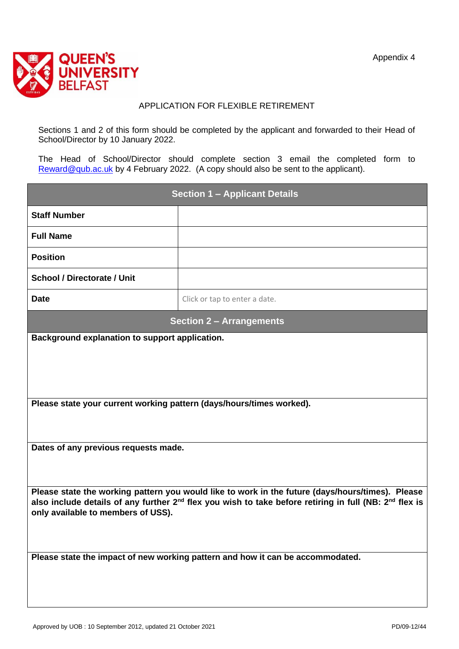

# APPLICATION FOR FLEXIBLE RETIREMENT

<span id="page-7-0"></span>Sections 1 and 2 of this form should be completed by the applicant and forwarded to their Head of School/Director by 10 January 2022.

The Head of School/Director should complete section 3 email the completed form to [Reward@qub.ac.uk](mailto:Reward@qub.ac.uk) by 4 February 2022. (A copy should also be sent to the applicant).

| <b>Section 1 - Applicant Details</b>                                                                                                                                 |                               |  |  |  |
|----------------------------------------------------------------------------------------------------------------------------------------------------------------------|-------------------------------|--|--|--|
| <b>Staff Number</b>                                                                                                                                                  |                               |  |  |  |
| <b>Full Name</b>                                                                                                                                                     |                               |  |  |  |
| <b>Position</b>                                                                                                                                                      |                               |  |  |  |
| <b>School / Directorate / Unit</b>                                                                                                                                   |                               |  |  |  |
| <b>Date</b>                                                                                                                                                          | Click or tap to enter a date. |  |  |  |
| <b>Section 2 - Arrangements</b>                                                                                                                                      |                               |  |  |  |
| Background explanation to support application.                                                                                                                       |                               |  |  |  |
|                                                                                                                                                                      |                               |  |  |  |
|                                                                                                                                                                      |                               |  |  |  |
| Please state your current working pattern (days/hours/times worked).                                                                                                 |                               |  |  |  |
|                                                                                                                                                                      |                               |  |  |  |
| Dates of any previous requests made.                                                                                                                                 |                               |  |  |  |
|                                                                                                                                                                      |                               |  |  |  |
| Please state the working pattern you would like to work in the future (days/hours/times). Please                                                                     |                               |  |  |  |
| also include details of any further 2 <sup>nd</sup> flex you wish to take before retiring in full (NB: 2 <sup>nd</sup> flex is<br>only available to members of USS). |                               |  |  |  |
|                                                                                                                                                                      |                               |  |  |  |
| Please state the impact of new working pattern and how it can be accommodated.                                                                                       |                               |  |  |  |
|                                                                                                                                                                      |                               |  |  |  |
|                                                                                                                                                                      |                               |  |  |  |